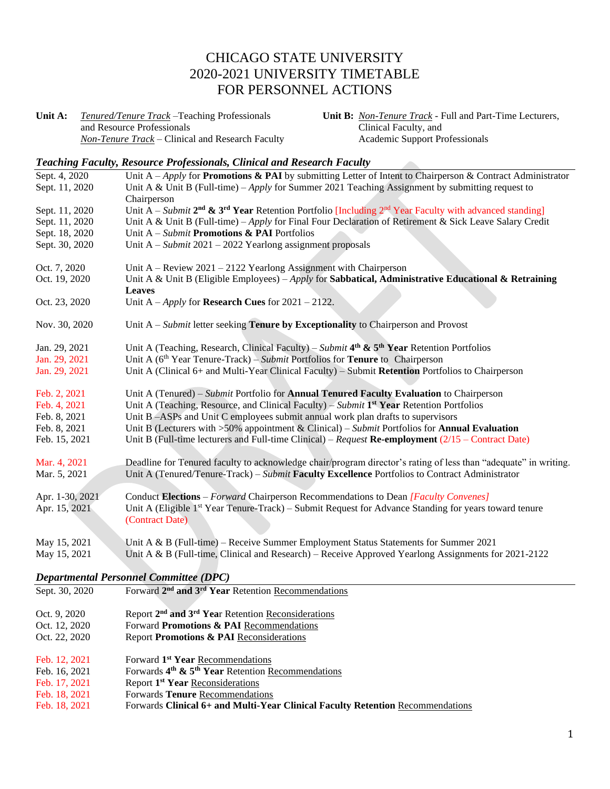# CHICAGO STATE UNIVERSITY 2020-2021 UNIVERSITY TIMETABLE FOR PERSONNEL ACTIONS

**Unit A:** *Tenured/Tenure Track –*Teaching Professionals and Resource Professionals *Non-Tenure Track –* Clinical and Research Faculty **Unit B:** *Non-Tenure Track* - Full and Part-Time Lecturers, Clinical Faculty, and Academic Support Professionals

#### *Teaching Faculty, Resource Professionals, Clinical and Research Faculty*

| Sept. 4, 2020<br>Sept. 11, 2020 | Unit A – Apply for <b>Promotions &amp; PAI</b> by submitting Letter of Intent to Chairperson & Contract Administrator<br>Unit A & Unit B (Full-time) – Apply for Summer 2021 Teaching Assignment by submitting request to |
|---------------------------------|---------------------------------------------------------------------------------------------------------------------------------------------------------------------------------------------------------------------------|
|                                 | Chairperson                                                                                                                                                                                                               |
| Sept. 11, 2020                  | Unit A – Submit $2^{nd}$ & $3^{rd}$ Year Retention Portfolio [Including $2^{nd}$ Year Faculty with advanced standing]                                                                                                     |
| Sept. 11, 2020                  | Unit A & Unit B (Full-time) – Apply for Final Four Declaration of Retirement & Sick Leave Salary Credit                                                                                                                   |
| Sept. 18, 2020                  | Unit $A - Submit$ Promotions & PAI Portfolios                                                                                                                                                                             |
| Sept. 30, 2020                  | Unit $A - Submit 2021 - 2022$ Yearlong assignment proposals                                                                                                                                                               |
| Oct. 7, 2020                    | Unit $A -$ Review 2021 - 2122 Yearlong Assignment with Chairperson                                                                                                                                                        |
| Oct. 19, 2020                   | Unit A & Unit B (Eligible Employees) – Apply for Sabbatical, Administrative Educational & Retraining<br>Leaves                                                                                                            |
| Oct. 23, 2020                   | Unit A – <i>Apply</i> for <b>Research Cues</b> for $2021 - 2122$ .                                                                                                                                                        |
| Nov. 30, 2020                   | Unit A - Submit letter seeking Tenure by Exceptionality to Chairperson and Provost                                                                                                                                        |
| Jan. 29, 2021                   | Unit A (Teaching, Research, Clinical Faculty) – Submit $4th$ & $5th$ Year Retention Portfolios                                                                                                                            |
| Jan. 29, 2021                   | Unit A ( $6th$ Year Tenure-Track) – Submit Portfolios for <b>Tenure</b> to Chairperson                                                                                                                                    |
| Jan. 29, 2021                   | Unit A (Clinical 6+ and Multi-Year Clinical Faculty) – Submit Retention Portfolios to Chairperson                                                                                                                         |
| Feb. 2, 2021                    | Unit A (Tenured) – Submit Portfolio for <b>Annual Tenured Faculty Evaluation</b> to Chairperson                                                                                                                           |
| Feb. 4, 2021                    | Unit A (Teaching, Resource, and Clinical Faculty) – Submit $1^{st}$ Year Retention Portfolios                                                                                                                             |
| Feb. 8, 2021                    | Unit B-ASPs and Unit C employees submit annual work plan drafts to supervisors                                                                                                                                            |
| Feb. 8, 2021<br>Feb. 15, 2021   | Unit B (Lecturers with $>50\%$ appointment & Clinical) – Submit Portfolios for <b>Annual Evaluation</b><br>Unit B (Full-time lecturers and Full-time Clinical) – Request Re-employment ( $2/15$ – Contract Date)          |
| Mar. 4, 2021                    | Deadline for Tenured faculty to acknowledge chair/program director's rating of less than "adequate" in writing.                                                                                                           |
| Mar. 5, 2021                    | Unit A (Tenured/Tenure-Track) – Submit Faculty Excellence Portfolios to Contract Administrator                                                                                                                            |
| Apr. 1-30, 2021                 | Conduct Elections - Forward Chairperson Recommendations to Dean [Faculty Convenes]                                                                                                                                        |
| Apr. 15, 2021                   | Unit A (Eligible 1 <sup>st</sup> Year Tenure-Track) – Submit Request for Advance Standing for years toward tenure                                                                                                         |
|                                 | (Contract Date)                                                                                                                                                                                                           |
| May 15, 2021                    | Unit A & B (Full-time) – Receive Summer Employment Status Statements for Summer 2021                                                                                                                                      |
| May 15, 2021                    | Unit A & B (Full-time, Clinical and Research) – Receive Approved Yearlong Assignments for 2021-2122                                                                                                                       |
|                                 | <b>Departmental Personnel Committee (DPC)</b>                                                                                                                                                                             |
| Sept. 30, 2020                  | Forward 2 <sup>nd</sup> and 3 <sup>rd</sup> Year Retention Recommendations                                                                                                                                                |
| Oct. 9, 2020                    | Report 2 <sup>nd</sup> and 3 <sup>rd</sup> Year Retention Reconsiderations                                                                                                                                                |
| Oct. 12, 2020                   | Forward Promotions & PAI Recommendations                                                                                                                                                                                  |
| Oct. 22, 2020                   | Report Promotions & PAI Reconsiderations                                                                                                                                                                                  |
| Feb. 12, 2021                   | Forward 1 <sup>st</sup> Year Recommendations                                                                                                                                                                              |
| Feb. 16, 2021                   | Forwards 4 <sup>th</sup> & 5 <sup>th</sup> Year Retention Recommendations                                                                                                                                                 |

- Feb. 17, 2021 **Report 1st Year Reconsiderations**
- Feb. 18, 2021 Forwards **Tenure** Recommendations
- Feb. 18, 2021 Forwards **Clinical 6+ and Multi-Year Clinical Faculty Retention** Recommendations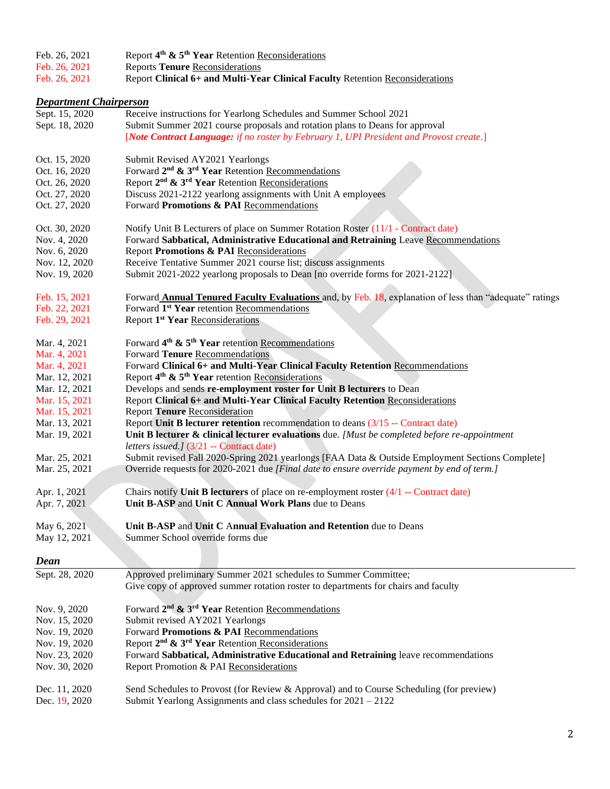| Feb. 26, 2021                 | Report 4 <sup>th</sup> & 5 <sup>th</sup> Year Retention Reconsiderations                                |
|-------------------------------|---------------------------------------------------------------------------------------------------------|
| Feb. 26, 2021                 | <b>Reports Tenure Reconsiderations</b>                                                                  |
| Feb. 26, 2021                 | Report Clinical 6+ and Multi-Year Clinical Faculty Retention Reconsiderations                           |
| <b>Department Chairperson</b> |                                                                                                         |
| Sept. 15, 2020                | Receive instructions for Yearlong Schedules and Summer School 2021                                      |
| Sept. 18, 2020                | Submit Summer 2021 course proposals and rotation plans to Deans for approval                            |
|                               | [Note Contract Language: if no roster by February 1, UPI President and Provost create.]                 |
| Oct. 15, 2020                 | Submit Revised AY2021 Yearlongs                                                                         |
| Oct. 16, 2020                 | Forward 2 <sup>nd</sup> & 3 <sup>rd</sup> Year Retention Recommendations                                |
| Oct. 26, 2020                 | Report 2 <sup>nd</sup> & 3 <sup>rd</sup> Year Retention Reconsiderations                                |
| Oct. 27, 2020                 | Discuss 2021-2122 yearlong assignments with Unit A employees                                            |
| Oct. 27, 2020                 | Forward Promotions & PAI Recommendations                                                                |
| Oct. 30, 2020                 | Notify Unit B Lecturers of place on Summer Rotation Roster (11/1 - Contract date)                       |
| Nov. 4, 2020                  | Forward Sabbatical, Administrative Educational and Retraining Leave Recommendations                     |
| Nov. 6, 2020                  | Report Promotions & PAI Reconsiderations                                                                |
| Nov. 12, 2020                 | Receive Tentative Summer 2021 course list; discuss assignments                                          |
| Nov. 19, 2020                 | Submit 2021-2022 yearlong proposals to Dean [no override forms for 2021-2122]                           |
| Feb. 15, 2021                 | Forward Annual Tenured Faculty Evaluations and, by Feb. 18, explanation of less than "adequate" ratings |
| Feb. 22, 2021                 | Forward 1 <sup>st</sup> Year retention Recommendations                                                  |
| Feb. 29, 2021                 | Report 1 <sup>st</sup> Year Reconsiderations                                                            |
|                               |                                                                                                         |
| Mar. 4, 2021                  | Forward 4 <sup>th</sup> & 5 <sup>th</sup> Year retention Recommendations                                |
| Mar. 4, 2021                  | Forward Tenure Recommendations                                                                          |
| Mar. 4, 2021                  | Forward Clinical 6+ and Multi-Year Clinical Faculty Retention Recommendations                           |
| Mar. 12, 2021                 | Report 4 <sup>th</sup> & 5 <sup>th</sup> Year retention Reconsiderations                                |
| Mar. 12, 2021                 | Develops and sends re-employment roster for Unit B lecturers to Dean                                    |
| Mar. 15, 2021                 | Report Clinical 6+ and Multi-Year Clinical Faculty Retention Reconsiderations                           |
| Mar. 15, 2021                 | <b>Report Tenure Reconsideration</b>                                                                    |
| Mar. 13, 2021                 | Report Unit B lecturer retention recommendation to deans $(3/15 -$ Contract date)                       |
| Mar. 19, 2021                 | Unit B lecturer $\&$ clinical lecturer evaluations due. [Must be completed before re-appointment        |
|                               | letters issued.] (3/21 -- Contract date)                                                                |
| Mar. 25, 2021                 | Submit revised Fall 2020-Spring 2021 yearlongs [FAA Data & Outside Employment Sections Complete]        |
| Mar. 25, 2021                 | Override requests for 2020-2021 due [Final date to ensure override payment by end of term.]             |
|                               |                                                                                                         |
| Apr. 1, 2021                  | Chairs notify Unit B lecturers of place on re-employment roster (4/1 -- Contract date)                  |
| Apr. 7, 2021                  | Unit B-ASP and Unit C Annual Work Plans due to Deans                                                    |
| May 6, 2021                   | Unit B-ASP and Unit C Annual Evaluation and Retention due to Deans                                      |
| May 12, 2021                  | Summer School override forms due                                                                        |
| Dean                          |                                                                                                         |
| Sept. 28, 2020                | Approved preliminary Summer 2021 schedules to Summer Committee;                                         |
|                               | Give copy of approved summer rotation roster to departments for chairs and faculty                      |
| Nov. 9, 2020                  | Forward 2 <sup>nd</sup> & 3 <sup>rd</sup> Year Retention Recommendations                                |
| Nov. 15, 2020                 | Submit revised AY2021 Yearlongs                                                                         |
| Nov. 19, 2020                 | Forward Promotions & PAI Recommendations                                                                |
| Nov. 19, 2020                 | Report 2 <sup>nd</sup> & 3 <sup>rd</sup> Year Retention Reconsiderations                                |
| Nov. 23, 2020                 | Forward Sabbatical, Administrative Educational and Retraining leave recommendations                     |
| Nov. 30, 2020                 | Report Promotion & PAI Reconsiderations                                                                 |
|                               |                                                                                                         |
| Dec. 11, 2020                 | Send Schedules to Provost (for Review & Approval) and to Course Scheduling (for preview)                |
| Dec. 19, 2020                 | Submit Yearlong Assignments and class schedules for 2021 - 2122                                         |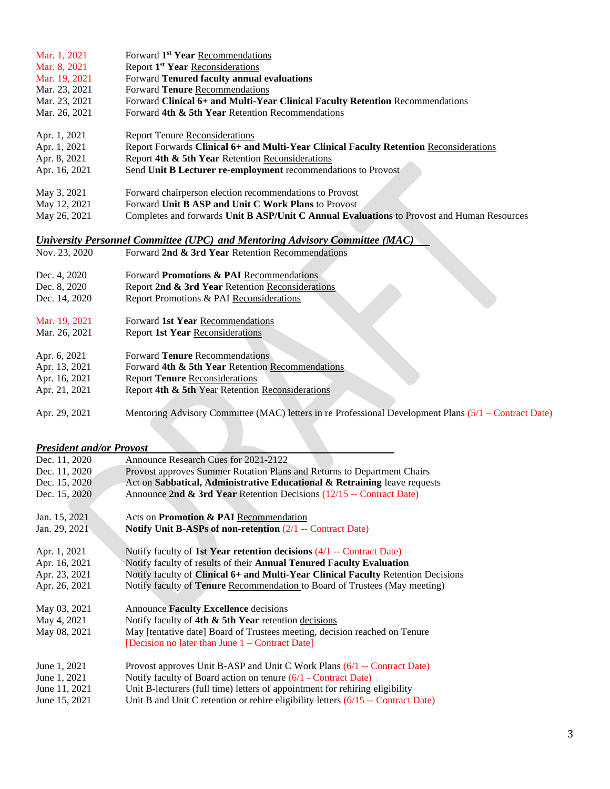| Mar. 1, 2021  | Forward 1 <sup>st</sup> Year Recommendations                                               |
|---------------|--------------------------------------------------------------------------------------------|
| Mar. 8, 2021  | Report 1 <sup>st</sup> Year Reconsiderations                                               |
| Mar. 19, 2021 | Forward Tenured faculty annual evaluations                                                 |
| Mar. 23, 2021 | Forward Tenure Recommendations                                                             |
| Mar. 23, 2021 | Forward Clinical 6+ and Multi-Year Clinical Faculty Retention Recommendations              |
| Mar. 26, 2021 | Forward 4th & 5th Year Retention Recommendations                                           |
| Apr. 1, 2021  | <b>Report Tenure Reconsiderations</b>                                                      |
| Apr. 1, 2021  | Report Forwards Clinical 6+ and Multi-Year Clinical Faculty Retention Reconsiderations     |
| Apr. 8, 2021  | Report 4th & 5th Year Retention Reconsiderations                                           |
| Apr. 16, 2021 | Send Unit B Lecturer re-employment recommendations to Provost                              |
|               |                                                                                            |
| May 3, 2021   | Forward chairperson election recommendations to Provost                                    |
| May 12, 2021  | Forward Unit B ASP and Unit C Work Plans to Provost                                        |
| May 26, 2021  | Completes and forwards Unit B ASP/Unit C Annual Evaluations to Provost and Human Resources |
|               |                                                                                            |

| University Personnel Committee (UPC) and Mentoring Advisory Committee (MAC) |                                                                                                       |  |
|-----------------------------------------------------------------------------|-------------------------------------------------------------------------------------------------------|--|
| Nov. 23, 2020                                                               | Forward 2nd & 3rd Year Retention Recommendations                                                      |  |
|                                                                             |                                                                                                       |  |
| Dec. 4, 2020                                                                | Forward Promotions & PAI Recommendations                                                              |  |
| Dec. 8, 2020                                                                | Report 2nd & 3rd Year Retention Reconsiderations                                                      |  |
| Dec. 14, 2020                                                               | Report Promotions & PAI Reconsiderations                                                              |  |
| Mar. 19, 2021                                                               | Forward 1st Year Recommendations                                                                      |  |
| Mar. 26, 2021                                                               | <b>Report 1st Year Reconsiderations</b>                                                               |  |
|                                                                             |                                                                                                       |  |
| Apr. 6, 2021                                                                | Forward <b>Tenure</b> Recommendations                                                                 |  |
| Apr. 13, 2021                                                               | Forward 4th & 5th Year Retention Recommendations                                                      |  |
| Apr. 16, 2021                                                               | <b>Report Tenure Reconsiderations</b>                                                                 |  |
| Apr. 21, 2021                                                               | Report 4th & 5th Year Retention Reconsiderations                                                      |  |
|                                                                             |                                                                                                       |  |
| Apr. 29, 2021                                                               | Mentoring Advisory Committee (MAC) letters in re Professional Development Plans (5/1 – Contract Date) |  |

## *President and/or Provost*

| Dec. 11, 2020 | Announce Research Cues for 2021-2122                                                     |
|---------------|------------------------------------------------------------------------------------------|
| Dec. 11, 2020 | Provost approves Summer Rotation Plans and Returns to Department Chairs                  |
| Dec. 15, 2020 | Act on Sabbatical, Administrative Educational & Retraining leave requests                |
| Dec. 15, 2020 | Announce 2nd & 3rd Year Retention Decisions $(12/15 -$ Contract Date)                    |
|               |                                                                                          |
| Jan. 15, 2021 | Acts on <b>Promotion &amp; PAI</b> Recommendation                                        |
| Jan. 29, 2021 | Notify Unit B-ASPs of non-retention $(2/1 -$ Contract Date)                              |
|               |                                                                                          |
| Apr. 1, 2021  | Notify faculty of 1st Year retention decisions $(4/1 -$ Contract Date)                   |
| Apr. 16, 2021 | Notify faculty of results of their Annual Tenured Faculty Evaluation                     |
| Apr. 23, 2021 | Notify faculty of <b>Clinical 6+ and Multi-Year Clinical Faculty</b> Retention Decisions |
| Apr. 26, 2021 | Notify faculty of <b>Tenure</b> Recommendation to Board of Trustees (May meeting)        |
|               |                                                                                          |
| May 03, 2021  | Announce Faculty Excellence decisions                                                    |
| May 4, 2021   | Notify faculty of 4th $\&$ 5th Year retention decisions                                  |
| May 08, 2021  | May [tentative date] Board of Trustees meeting, decision reached on Tenure               |
|               | [Decision no later than June $1 -$ Contract Date]                                        |
|               |                                                                                          |
| June 1, 2021  | Provost approves Unit B-ASP and Unit C Work Plans (6/1 -- Contract Date)                 |
| June 1, 2021  | Notify faculty of Board action on tenure (6/1 - Contract Date)                           |
| June 11, 2021 | Unit B-lecturers (full time) letters of appointment for rehiring eligibility             |
| June 15, 2021 | Unit B and Unit C retention or rehire eligibility letters $(6/15 -$ Contract Date)       |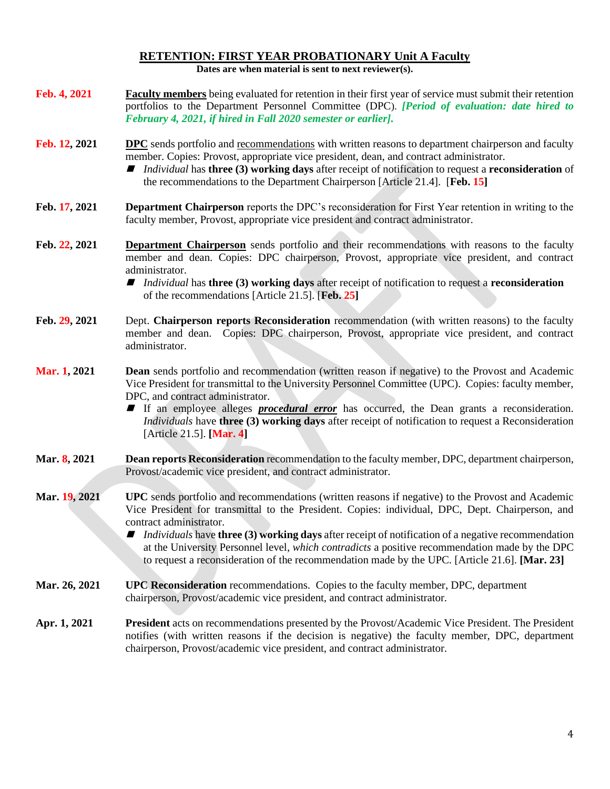#### **RETENTION: FIRST YEAR PROBATIONARY Unit A Faculty Dates are when material is sent to next reviewer(s).**

| Feb. 4, 2021  | <b>Faculty members</b> being evaluated for retention in their first year of service must submit their retention<br>portfolios to the Department Personnel Committee (DPC). [Period of evaluation: date hired to<br>February 4, 2021, if hired in Fall 2020 semester or earlier].                                                                                                                                                                                                                                                                        |
|---------------|---------------------------------------------------------------------------------------------------------------------------------------------------------------------------------------------------------------------------------------------------------------------------------------------------------------------------------------------------------------------------------------------------------------------------------------------------------------------------------------------------------------------------------------------------------|
| Feb. 12, 2021 | <b>DPC</b> sends portfolio and recommendations with written reasons to department chairperson and faculty<br>member. Copies: Provost, appropriate vice president, dean, and contract administrator.<br><i>Individual</i> has <b>three</b> (3) working days after receipt of notification to request a reconsideration of<br>the recommendations to the Department Chairperson [Article 21.4]. [Feb. 15]                                                                                                                                                 |
| Feb. 17, 2021 | <b>Department Chairperson</b> reports the DPC's reconsideration for First Year retention in writing to the<br>faculty member, Provost, appropriate vice president and contract administrator.                                                                                                                                                                                                                                                                                                                                                           |
| Feb. 22, 2021 | Department Chairperson sends portfolio and their recommendations with reasons to the faculty<br>member and dean. Copies: DPC chairperson, Provost, appropriate vice president, and contract<br>administrator.<br><i>Individual</i> has three (3) working days after receipt of notification to request a reconsideration<br>of the recommendations [Article 21.5]. [Feb. 25]                                                                                                                                                                            |
| Feb. 29, 2021 | Dept. Chairperson reports Reconsideration recommendation (with written reasons) to the faculty<br>Copies: DPC chairperson, Provost, appropriate vice president, and contract<br>member and dean.<br>administrator.                                                                                                                                                                                                                                                                                                                                      |
| Mar. 1, 2021  | Dean sends portfolio and recommendation (written reason if negative) to the Provost and Academic<br>Vice President for transmittal to the University Personnel Committee (UPC). Copies: faculty member,<br>DPC, and contract administrator.<br>If an employee alleges <i>procedural error</i> has occurred, the Dean grants a reconsideration.<br>Individuals have three (3) working days after receipt of notification to request a Reconsideration<br>[Article 21.5]. [Mar. 4]                                                                        |
| Mar. 8, 2021  | Dean reports Reconsideration recommendation to the faculty member, DPC, department chairperson,<br>Provost/academic vice president, and contract administrator.                                                                                                                                                                                                                                                                                                                                                                                         |
| Mar. 19, 2021 | UPC sends portfolio and recommendations (written reasons if negative) to the Provost and Academic<br>Vice President for transmittal to the President. Copies: individual, DPC, Dept. Chairperson, and<br>contract administrator.<br><i>Individuals</i> have <b>three (3) working days</b> after receipt of notification of a negative recommendation<br>at the University Personnel level, which contradicts a positive recommendation made by the DPC<br>to request a reconsideration of the recommendation made by the UPC. [Article 21.6]. [Mar. 23] |
| Mar. 26, 2021 | <b>UPC Reconsideration</b> recommendations. Copies to the faculty member, DPC, department<br>chairperson, Provost/academic vice president, and contract administrator.                                                                                                                                                                                                                                                                                                                                                                                  |
| Apr. 1, 2021  | President acts on recommendations presented by the Provost/Academic Vice President. The President<br>notifies (with written reasons if the decision is negative) the faculty member, DPC, department<br>chairperson, Provost/academic vice president, and contract administrator.                                                                                                                                                                                                                                                                       |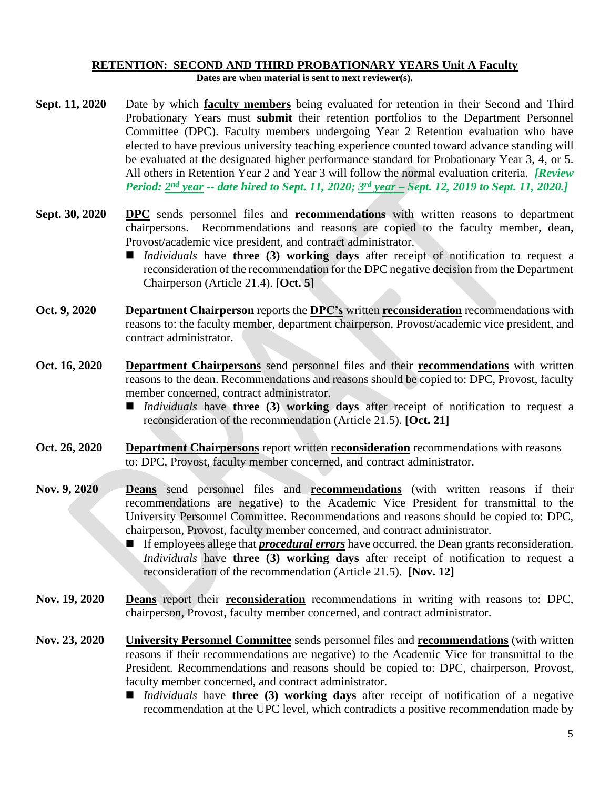## **RETENTION: SECOND AND THIRD PROBATIONARY YEARS Unit A Faculty**

**Dates are when material is sent to next reviewer(s).**

- **Sept. 11, 2020** Date by which **faculty members** being evaluated for retention in their Second and Third Probationary Years must **submit** their retention portfolios to the Department Personnel Committee (DPC). Faculty members undergoing Year 2 Retention evaluation who have elected to have previous university teaching experience counted toward advance standing will be evaluated at the designated higher performance standard for Probationary Year 3, 4, or 5. All others in Retention Year 2 and Year 3 will follow the normal evaluation criteria. *[Review Period: 2 nd year -- date hired to Sept. 11, 2020; 3 rd year – Sept. 12, 2019 to Sept. 11, 2020.]*
- **Sept. 30, 2020 DPC** sends personnel files and **recommendations** with written reasons to department chairpersons. Recommendations and reasons are copied to the faculty member, dean, Provost/academic vice president, and contract administrator.
	- *Individuals* have **three** (3) working days after receipt of notification to request a reconsideration of the recommendation for the DPC negative decision from the Department Chairperson (Article 21.4). **[Oct. 5]**
- **Oct. 9, 2020 Department Chairperson** reports the **DPC's** written **reconsideration** recommendations with reasons to: the faculty member, department chairperson, Provost/academic vice president, and contract administrator.
- **Oct. 16, 2020 Department Chairpersons** send personnel files and their **recommendations** with written reasons to the dean. Recommendations and reasons should be copied to: DPC, Provost, faculty member concerned, contract administrator.
	- *Individuals* have **three (3) working days** after receipt of notification to request a reconsideration of the recommendation (Article 21.5). **[Oct. 21]**
- **Oct. 26, 2020 Department Chairpersons** report written **reconsideration** recommendations with reasons to: DPC, Provost, faculty member concerned, and contract administrator.
- **Nov. 9, 2020 Deans** send personnel files and **recommendations** (with written reasons if their recommendations are negative) to the Academic Vice President for transmittal to the University Personnel Committee. Recommendations and reasons should be copied to: DPC, chairperson, Provost, faculty member concerned, and contract administrator.
	- If employees allege that *procedural errors* have occurred, the Dean grants reconsideration. *Individuals* have **three (3) working days** after receipt of notification to request a reconsideration of the recommendation (Article 21.5). **[Nov. 12]**
- **Nov. 19, 2020 Deans** report their **reconsideration** recommendations in writing with reasons to: DPC, chairperson, Provost, faculty member concerned, and contract administrator.
- **Nov. 23, 2020 University Personnel Committee** sends personnel files and **recommendations** (with written reasons if their recommendations are negative) to the Academic Vice for transmittal to the President. Recommendations and reasons should be copied to: DPC, chairperson, Provost, faculty member concerned, and contract administrator.
	- *Individuals* have **three (3) working days** after receipt of notification of a negative recommendation at the UPC level, which contradicts a positive recommendation made by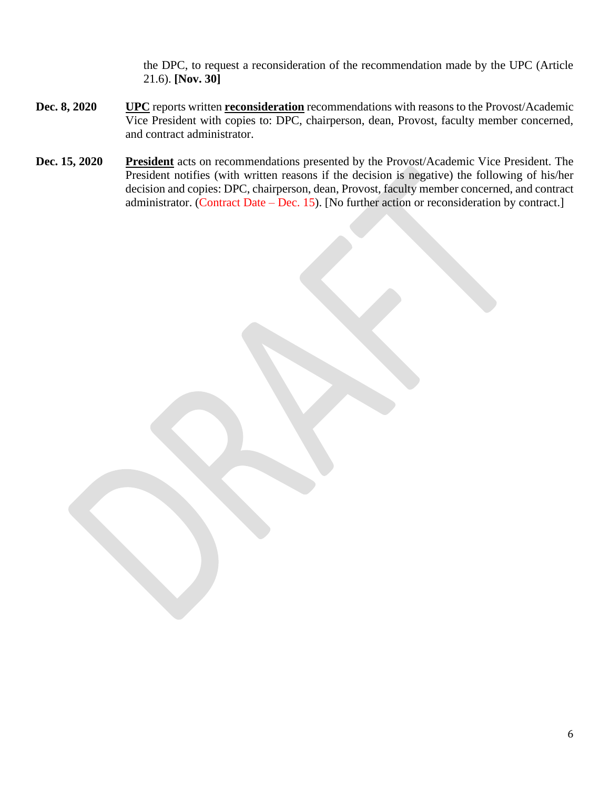the DPC, to request a reconsideration of the recommendation made by the UPC (Article 21.6). **[Nov. 30]**

- **Dec. 8, 2020 UPC** reports written **reconsideration** recommendations with reasons to the Provost/Academic Vice President with copies to: DPC, chairperson, dean, Provost, faculty member concerned, and contract administrator.
- **Dec. 15, 2020 President** acts on recommendations presented by the Provost/Academic Vice President. The President notifies (with written reasons if the decision is negative) the following of his/her decision and copies: DPC, chairperson, dean, Provost, faculty member concerned, and contract administrator. (Contract Date – Dec. 15). [No further action or reconsideration by contract.]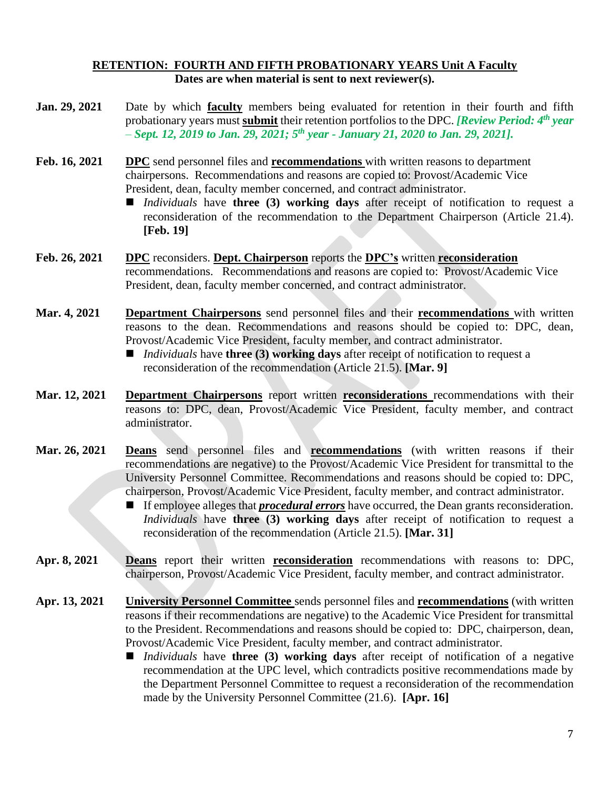### **RETENTION: FOURTH AND FIFTH PROBATIONARY YEARS Unit A Faculty Dates are when material is sent to next reviewer(s).**

| Jan. 29, 2021 | Date by which <b>faculty</b> members being evaluated for retention in their fourth and fifth<br>probationary years must submit their retention portfolios to the DPC. [Review Period: 4th year<br>$-$ Sept. 12, 2019 to Jan. 29, 2021; 5 <sup>th</sup> year - January 21, 2020 to Jan. 29, 2021].                                                                                                                                                                                                                                                                                                                                                        |
|---------------|----------------------------------------------------------------------------------------------------------------------------------------------------------------------------------------------------------------------------------------------------------------------------------------------------------------------------------------------------------------------------------------------------------------------------------------------------------------------------------------------------------------------------------------------------------------------------------------------------------------------------------------------------------|
| Feb. 16, 2021 | <b>DPC</b> send personnel files and <b>recommendations</b> with written reasons to department<br>chairpersons. Recommendations and reasons are copied to: Provost/Academic Vice<br>President, dean, faculty member concerned, and contract administrator.<br>Individuals have three (3) working days after receipt of notification to request a<br>reconsideration of the recommendation to the Department Chairperson (Article 21.4).<br>[Feb. 19]                                                                                                                                                                                                      |
| Feb. 26, 2021 | <b>DPC</b> reconsiders. Dept. Chairperson reports the DPC's written reconsideration<br>recommendations. Recommendations and reasons are copied to: Provost/Academic Vice<br>President, dean, faculty member concerned, and contract administrator.                                                                                                                                                                                                                                                                                                                                                                                                       |
| Mar. 4, 2021  | <b>Department Chairpersons</b> send personnel files and their <b>recommendations</b> with written<br>reasons to the dean. Recommendations and reasons should be copied to: DPC, dean,<br>Provost/Academic Vice President, faculty member, and contract administrator.<br>$\blacksquare$ Individuals have three (3) working days after receipt of notification to request a<br>reconsideration of the recommendation (Article 21.5). [Mar. 9]                                                                                                                                                                                                             |
| Mar. 12, 2021 | Department Chairpersons report written reconsiderations recommendations with their<br>reasons to: DPC, dean, Provost/Academic Vice President, faculty member, and contract<br>administrator.                                                                                                                                                                                                                                                                                                                                                                                                                                                             |
| Mar. 26, 2021 | send personnel files and <b>recommendations</b> (with written reasons if their<br><b>Deans</b><br>recommendations are negative) to the Provost/Academic Vice President for transmittal to the<br>University Personnel Committee. Recommendations and reasons should be copied to: DPC,<br>chairperson, Provost/Academic Vice President, faculty member, and contract administrator.<br><b>If employee alleges that <i>procedural errors</i></b> have occurred, the Dean grants reconsideration.<br>Individuals have three (3) working days after receipt of notification to request a<br>reconsideration of the recommendation (Article 21.5). [Mar. 31] |
| Apr. 8, 2021  | Deans report their written reconsideration recommendations with reasons to: DPC,<br>chairperson, Provost/Academic Vice President, faculty member, and contract administrator.                                                                                                                                                                                                                                                                                                                                                                                                                                                                            |
| Apr. 13, 2021 | <b>University Personnel Committee</b> sends personnel files and <b>recommendations</b> (with written<br>reasons if their recommendations are negative) to the Academic Vice President for transmittal<br>to the President. Recommendations and reasons should be copied to: DPC, chairperson, dean,<br>Provost/Academic Vice President, faculty member, and contract administrator.<br>Individuals have three (3) working days after receipt of notification of a negative                                                                                                                                                                               |

recommendation at the UPC level, which contradicts positive recommendations made by the Department Personnel Committee to request a reconsideration of the recommendation made by the University Personnel Committee (21.6). **[Apr. 16]**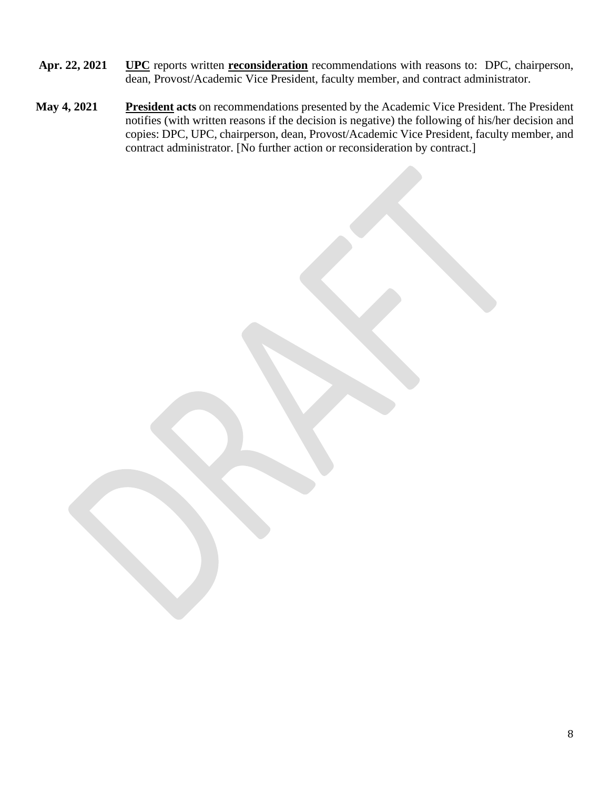- **Apr. 22, 2021 UPC** reports written **reconsideration** recommendations with reasons to: DPC, chairperson, dean, Provost/Academic Vice President, faculty member, and contract administrator.
- **May 4, 2021 President acts** on recommendations presented by the Academic Vice President. The President notifies (with written reasons if the decision is negative) the following of his/her decision and copies: DPC, UPC, chairperson, dean, Provost/Academic Vice President, faculty member, and contract administrator. [No further action or reconsideration by contract.]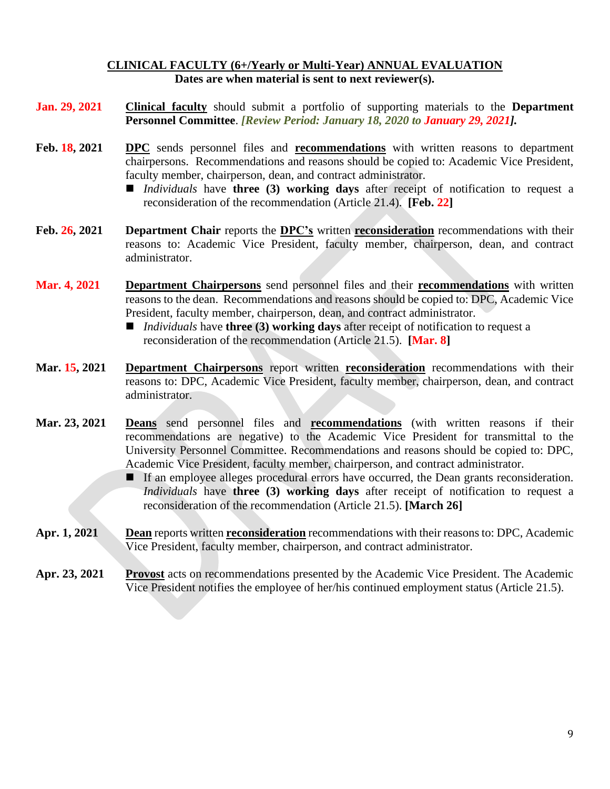### **CLINICAL FACULTY (6+/Yearly or Multi-Year) ANNUAL EVALUATION Dates are when material is sent to next reviewer(s).**

- **Jan. 29, 2021 Clinical faculty** should submit a portfolio of supporting materials to the **Department Personnel Committee**. *[Review Period: January 18, 2020 to January 29, 2021].*
- **Feb. 18, 2021 DPC** sends personnel files and **recommendations** with written reasons to department chairpersons. Recommendations and reasons should be copied to: Academic Vice President, faculty member, chairperson, dean, and contract administrator.
	- *Individuals* have **three** (3) working days after receipt of notification to request a reconsideration of the recommendation (Article 21.4). **[Feb. 22]**
- **Feb. 26, 2021 Department Chair** reports the **DPC's** written **reconsideration** recommendations with their reasons to: Academic Vice President, faculty member, chairperson, dean, and contract administrator.
- **Mar. 4, 2021 Department Chairpersons** send personnel files and their **recommendations** with written reasons to the dean. Recommendations and reasons should be copied to: DPC, Academic Vice President, faculty member, chairperson, dean, and contract administrator.
	- *Individuals* have **three (3) working days** after receipt of notification to request a reconsideration of the recommendation (Article 21.5). **[Mar. 8]**
- **Mar. 15, 2021 Department Chairpersons** report written **reconsideration** recommendations with their reasons to: DPC, Academic Vice President, faculty member, chairperson, dean, and contract administrator.
- **Mar. 23, 2021 Deans** send personnel files and **recommendations** (with written reasons if their recommendations are negative) to the Academic Vice President for transmittal to the University Personnel Committee. Recommendations and reasons should be copied to: DPC, Academic Vice President, faculty member, chairperson, and contract administrator.
	- If an employee alleges procedural errors have occurred, the Dean grants reconsideration. *Individuals* have **three (3) working days** after receipt of notification to request a reconsideration of the recommendation (Article 21.5). **[March 26]**
- **Apr. 1, 2021 Dean** reports written **reconsideration** recommendations with their reasons to: DPC, Academic Vice President, faculty member, chairperson, and contract administrator.
- **Apr. 23, 2021 Provost** acts on recommendations presented by the Academic Vice President. The Academic Vice President notifies the employee of her/his continued employment status (Article 21.5).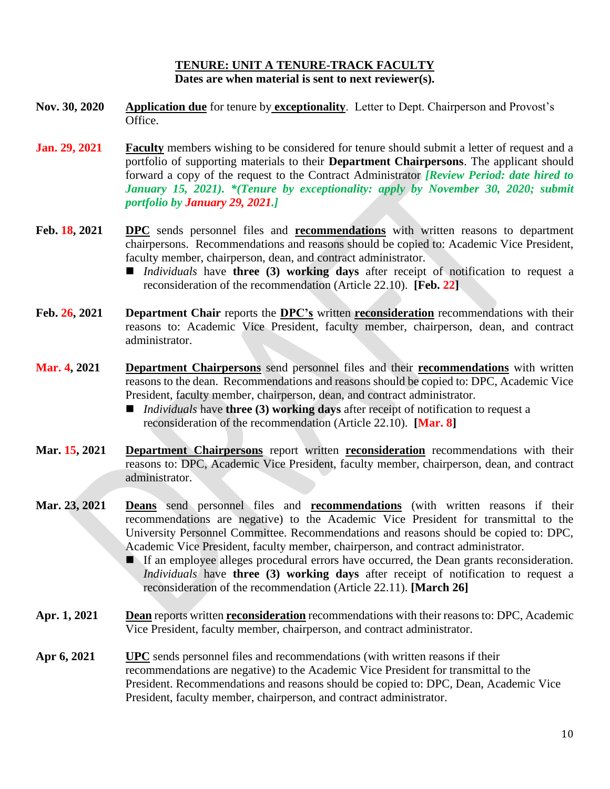### **TENURE: UNIT A TENURE-TRACK FACULTY Dates are when material is sent to next reviewer(s).**

- **Nov. 30, 2020 Application due** for tenure by **exceptionality**. Letter to Dept. Chairperson and Provost's Office.
- **Jan. 29, 2021 Faculty** members wishing to be considered for tenure should submit a letter of request and a portfolio of supporting materials to their **Department Chairpersons**. The applicant should forward a copy of the request to the Contract Administrator *[Review Period: date hired to January 15, 2021). \*(Tenure by exceptionality: apply by November 30, 2020; submit portfolio by January 29, 2021.]*
- **Feb. 18, 2021 DPC** sends personnel files and **recommendations** with written reasons to department chairpersons. Recommendations and reasons should be copied to: Academic Vice President, faculty member, chairperson, dean, and contract administrator.
	- *Individuals* have **three** (3) working days after receipt of notification to request a reconsideration of the recommendation (Article 22.10). **[Feb. 22]**
- **Feb. 26, 2021 Department Chair** reports the **DPC's** written **reconsideration** recommendations with their reasons to: Academic Vice President, faculty member, chairperson, dean, and contract administrator.
- **Mar. 4, 2021 Department Chairpersons** send personnel files and their **recommendations** with written reasons to the dean. Recommendations and reasons should be copied to: DPC, Academic Vice President, faculty member, chairperson, dean, and contract administrator.
	- *Individuals* have **three (3) working days** after receipt of notification to request a reconsideration of the recommendation (Article 22.10). **[Mar. 8]**
- **Mar. 15, 2021 Department Chairpersons** report written **reconsideration** recommendations with their reasons to: DPC, Academic Vice President, faculty member, chairperson, dean, and contract administrator.
- **Mar. 23, 2021 Deans** send personnel files and **recommendations** (with written reasons if their recommendations are negative) to the Academic Vice President for transmittal to the University Personnel Committee. Recommendations and reasons should be copied to: DPC, Academic Vice President, faculty member, chairperson, and contract administrator.
	- If an employee alleges procedural errors have occurred, the Dean grants reconsideration. *Individuals* have **three (3) working days** after receipt of notification to request a reconsideration of the recommendation (Article 22.11). **[March 26]**
- **Apr. 1, 2021 Dean** reports written **reconsideration** recommendations with their reasons to: DPC, Academic Vice President, faculty member, chairperson, and contract administrator.
- **Apr 6, 2021 UPC** sends personnel files and recommendations (with written reasons if their recommendations are negative) to the Academic Vice President for transmittal to the President. Recommendations and reasons should be copied to: DPC, Dean, Academic Vice President, faculty member, chairperson, and contract administrator.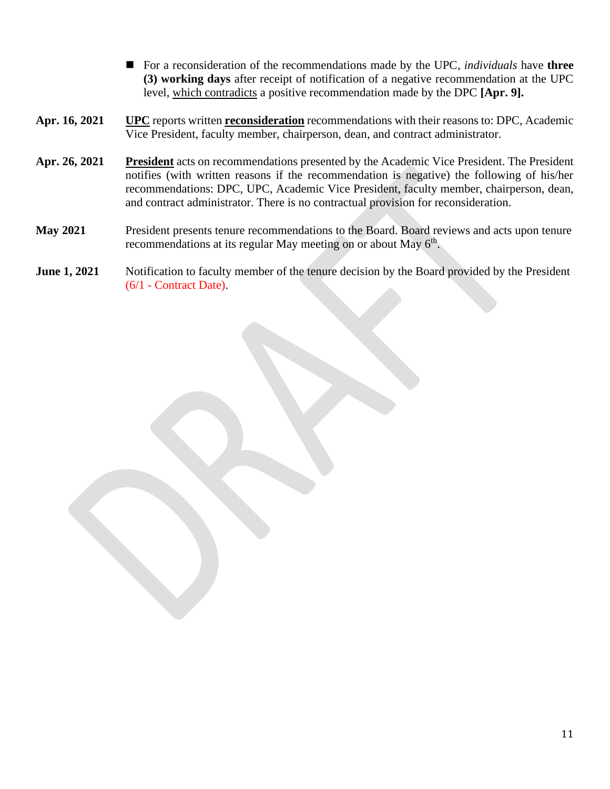- For a reconsideration of the recommendations made by the UPC, *individuals* have **three (3) working days** after receipt of notification of a negative recommendation at the UPC level, which contradicts a positive recommendation made by the DPC **[Apr. 9].**
- **Apr. 16, 2021 UPC** reports written **reconsideration** recommendations with their reasons to: DPC, Academic Vice President, faculty member, chairperson, dean, and contract administrator.
- **Apr. 26, 2021 President** acts on recommendations presented by the Academic Vice President. The President notifies (with written reasons if the recommendation is negative) the following of his/her recommendations: DPC, UPC, Academic Vice President, faculty member, chairperson, dean, and contract administrator. There is no contractual provision for reconsideration.
- **May 2021** President presents tenure recommendations to the Board. Board reviews and acts upon tenure recommendations at its regular May meeting on or about May  $6<sup>th</sup>$ .
- **June 1, 2021** Notification to faculty member of the tenure decision by the Board provided by the President (6/1 - Contract Date).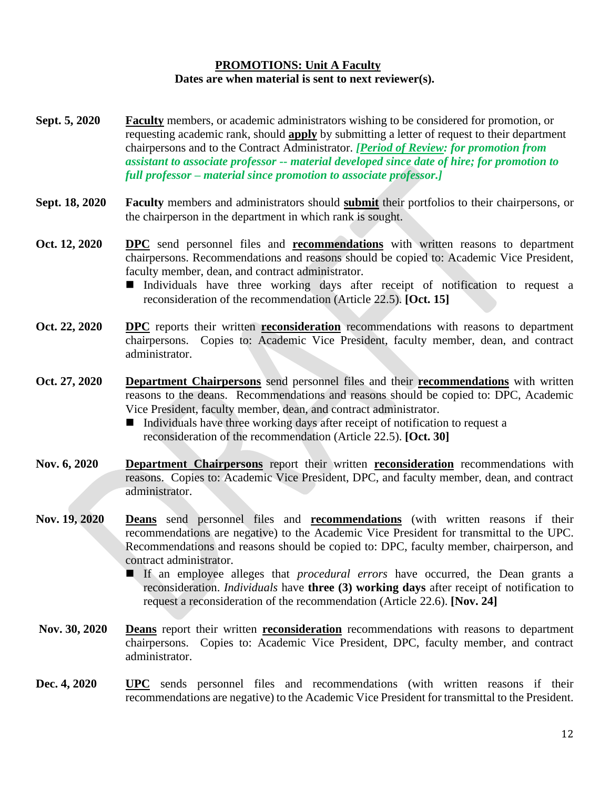### **PROMOTIONS: Unit A Faculty Dates are when material is sent to next reviewer(s).**

- **Sept. 5, 2020 Faculty** members, or academic administrators wishing to be considered for promotion, or requesting academic rank, should **apply** by submitting a letter of request to their department chairpersons and to the Contract Administrator. *[Period of Review: for promotion from assistant to associate professor -- material developed since date of hire; for promotion to full professor – material since promotion to associate professor.]*
- **Sept. 18, 2020 Faculty** members and administrators should **submit** their portfolios to their chairpersons, or the chairperson in the department in which rank is sought.
- **Oct. 12, 2020 DPC** send personnel files and **recommendations** with written reasons to department chairpersons. Recommendations and reasons should be copied to: Academic Vice President, faculty member, dean, and contract administrator.
	- Individuals have three working days after receipt of notification to request a reconsideration of the recommendation (Article 22.5). **[Oct. 15]**
- **Oct. 22, 2020 DPC** reports their written **reconsideration** recommendations with reasons to department chairpersons. Copies to: Academic Vice President, faculty member, dean, and contract administrator.
- **Oct. 27, 2020 Department Chairpersons** send personnel files and their **recommendations** with written reasons to the deans. Recommendations and reasons should be copied to: DPC, Academic Vice President, faculty member, dean, and contract administrator.
	- $\blacksquare$  Individuals have three working days after receipt of notification to request a reconsideration of the recommendation (Article 22.5). **[Oct. 30]**
- **Nov. 6, 2020 Department Chairpersons** report their written **reconsideration** recommendations with reasons. Copies to: Academic Vice President, DPC, and faculty member, dean, and contract administrator.
- **Nov. 19, 2020 Deans** send personnel files and **recommendations** (with written reasons if their recommendations are negative) to the Academic Vice President for transmittal to the UPC. Recommendations and reasons should be copied to: DPC, faculty member, chairperson, and contract administrator.
	- If an employee alleges that *procedural errors* have occurred, the Dean grants a reconsideration. *Individuals* have **three (3) working days** after receipt of notification to request a reconsideration of the recommendation (Article 22.6). **[Nov. 24]**
- **Nov. 30, 2020 Deans** report their written **reconsideration** recommendations with reasons to department chairpersons. Copies to: Academic Vice President, DPC, faculty member, and contract administrator.
- **Dec. 4, 2020 UPC** sends personnel files and recommendations (with written reasons if their recommendations are negative) to the Academic Vice President for transmittal to the President.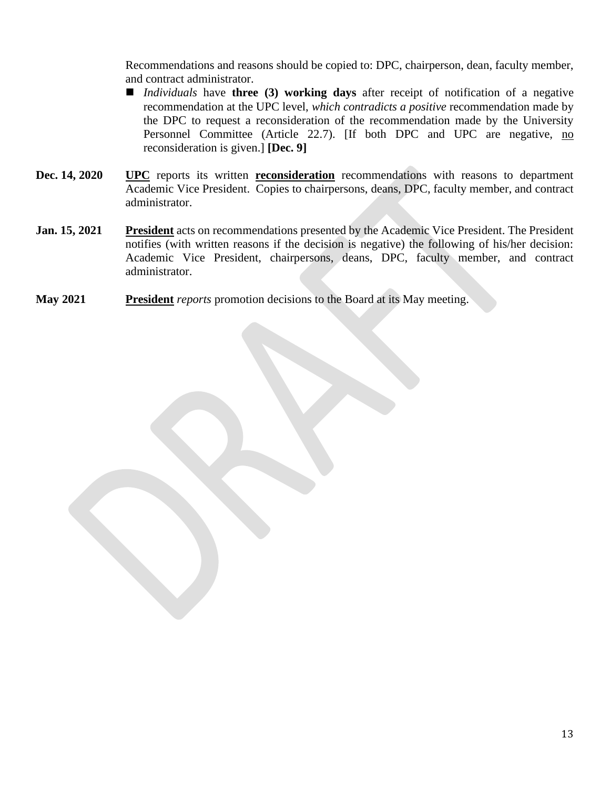Recommendations and reasons should be copied to: DPC, chairperson, dean, faculty member, and contract administrator.

- *Individuals* have **three (3) working days** after receipt of notification of a negative recommendation at the UPC level, *which contradicts a positive* recommendation made by the DPC to request a reconsideration of the recommendation made by the University Personnel Committee (Article 22.7). [If both DPC and UPC are negative, no reconsideration is given.] **[Dec. 9]**
- **Dec. 14, 2020 UPC** reports its written **reconsideration** recommendations with reasons to department Academic Vice President. Copies to chairpersons, deans, DPC, faculty member, and contract administrator.
- **Jan. 15, 2021 President** acts on recommendations presented by the Academic Vice President. The President notifies (with written reasons if the decision is negative) the following of his/her decision: Academic Vice President, chairpersons, deans, DPC, faculty member, and contract administrator.
- **May 2021 President** *reports* promotion decisions to the Board at its May meeting.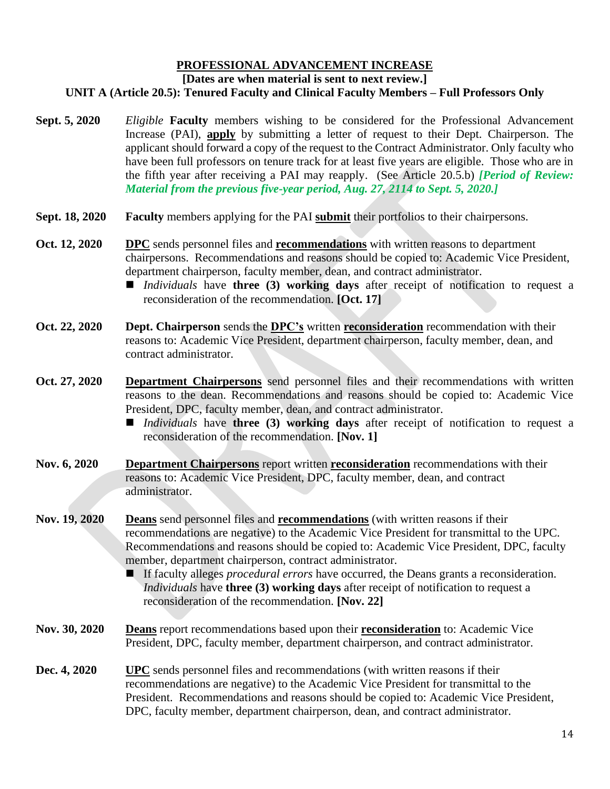### **PROFESSIONAL ADVANCEMENT INCREASE**

#### **[Dates are when material is sent to next review.]**

#### **UNIT A (Article 20.5): Tenured Faculty and Clinical Faculty Members – Full Professors Only**

- **Sept. 5, 2020** *Eligible* **Faculty** members wishing to be considered for the Professional Advancement Increase (PAI), **apply** by submitting a letter of request to their Dept. Chairperson. The applicant should forward a copy of the request to the Contract Administrator. Only faculty who have been full professors on tenure track for at least five years are eligible. Those who are in the fifth year after receiving a PAI may reapply. (See Article 20.5.b) *[Period of Review: Material from the previous five-year period, Aug. 27, 2114 to Sept. 5, 2020.]*
- **Sept. 18, 2020 Faculty** members applying for the PAI **submit** their portfolios to their chairpersons.
- **Oct. 12, 2020 DPC** sends personnel files and **recommendations** with written reasons to department chairpersons. Recommendations and reasons should be copied to: Academic Vice President, department chairperson, faculty member, dean, and contract administrator.
	- *Individuals* have **three** (3) working days after receipt of notification to request a reconsideration of the recommendation. **[Oct. 17]**
- **Oct. 22, 2020 Dept. Chairperson** sends the **DPC's** written **reconsideration** recommendation with their reasons to: Academic Vice President, department chairperson, faculty member, dean, and contract administrator.
- **Oct. 27, 2020 Department Chairpersons** send personnel files and their recommendations with written reasons to the dean. Recommendations and reasons should be copied to: Academic Vice President, DPC, faculty member, dean, and contract administrator.
	- *Individuals* have **three** (3) working days after receipt of notification to request a reconsideration of the recommendation. **[Nov. 1]**
- **Nov. 6, 2020 Department Chairpersons** report written **reconsideration** recommendations with their reasons to: Academic Vice President, DPC, faculty member, dean, and contract administrator.

### **Nov. 19, 2020 Deans** send personnel files and **recommendations** (with written reasons if their recommendations are negative) to the Academic Vice President for transmittal to the UPC. Recommendations and reasons should be copied to: Academic Vice President, DPC, faculty member, department chairperson, contract administrator.

- If faculty alleges *procedural errors* have occurred, the Deans grants a reconsideration. *Individuals* have **three (3) working days** after receipt of notification to request a reconsideration of the recommendation. **[Nov. 22]**
- **Nov. 30, 2020 Deans** report recommendations based upon their **reconsideration** to: Academic Vice President, DPC, faculty member, department chairperson, and contract administrator.
- **Dec. 4, 2020 UPC** sends personnel files and recommendations (with written reasons if their recommendations are negative) to the Academic Vice President for transmittal to the President. Recommendations and reasons should be copied to: Academic Vice President, DPC, faculty member, department chairperson, dean, and contract administrator.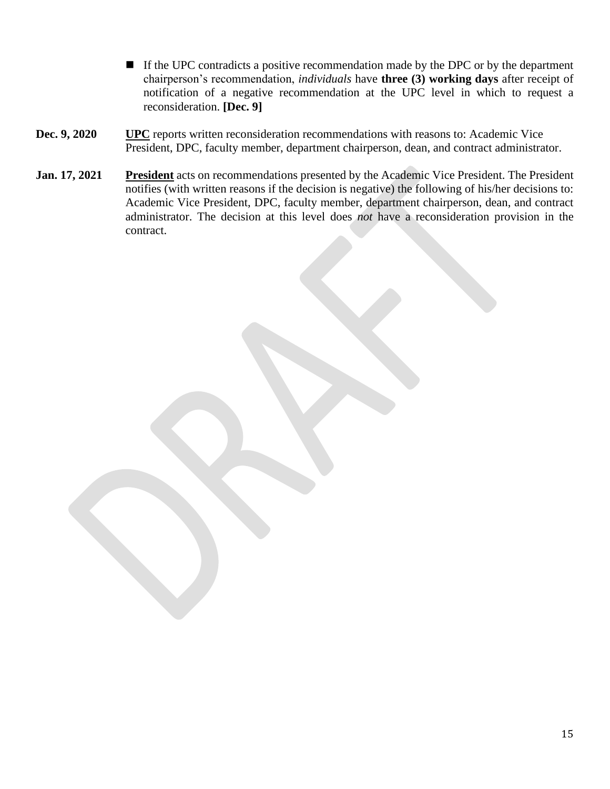- If the UPC contradicts a positive recommendation made by the DPC or by the department chairperson's recommendation, *individuals* have **three (3) working days** after receipt of notification of a negative recommendation at the UPC level in which to request a reconsideration. **[Dec. 9]**
- **Dec. 9, 2020 UPC** reports written reconsideration recommendations with reasons to: Academic Vice President, DPC, faculty member, department chairperson, dean, and contract administrator.
- **Jan. 17, 2021 President** acts on recommendations presented by the Academic Vice President. The President notifies (with written reasons if the decision is negative) the following of his/her decisions to: Academic Vice President, DPC, faculty member, department chairperson, dean, and contract administrator. The decision at this level does *not* have a reconsideration provision in the contract.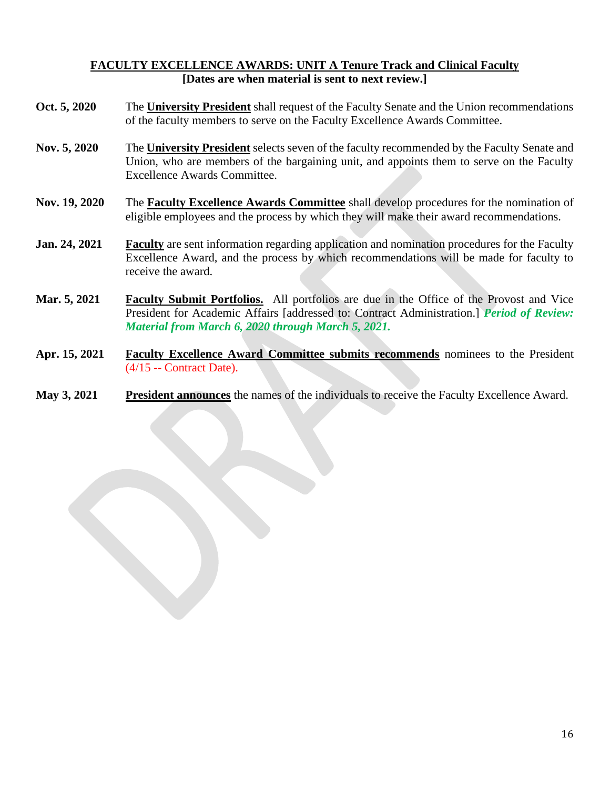### **FACULTY EXCELLENCE AWARDS: UNIT A Tenure Track and Clinical Faculty [Dates are when material is sent to next review.]**

- **Oct. 5, 2020** The **University President** shall request of the Faculty Senate and the Union recommendations of the faculty members to serve on the Faculty Excellence Awards Committee.
- **Nov. 5, 2020** The **University President** selects seven of the faculty recommended by the Faculty Senate and Union, who are members of the bargaining unit, and appoints them to serve on the Faculty Excellence Awards Committee.
- **Nov. 19, 2020** The **Faculty Excellence Awards Committee** shall develop procedures for the nomination of eligible employees and the process by which they will make their award recommendations.
- **Jan. 24, 2021 Faculty** are sent information regarding application and nomination procedures for the Faculty Excellence Award, and the process by which recommendations will be made for faculty to receive the award.
- **Mar. 5, 2021 Faculty Submit Portfolios.** All portfolios are due in the Office of the Provost and Vice President for Academic Affairs [addressed to: Contract Administration.] *Period of Review: Material from March 6, 2020 through March 5, 2021.*
- **Apr. 15, 2021 Faculty Excellence Award Committee submits recommends** nominees to the President (4/15 -- Contract Date).
- **May 3, 2021 President announces** the names of the individuals to receive the Faculty Excellence Award.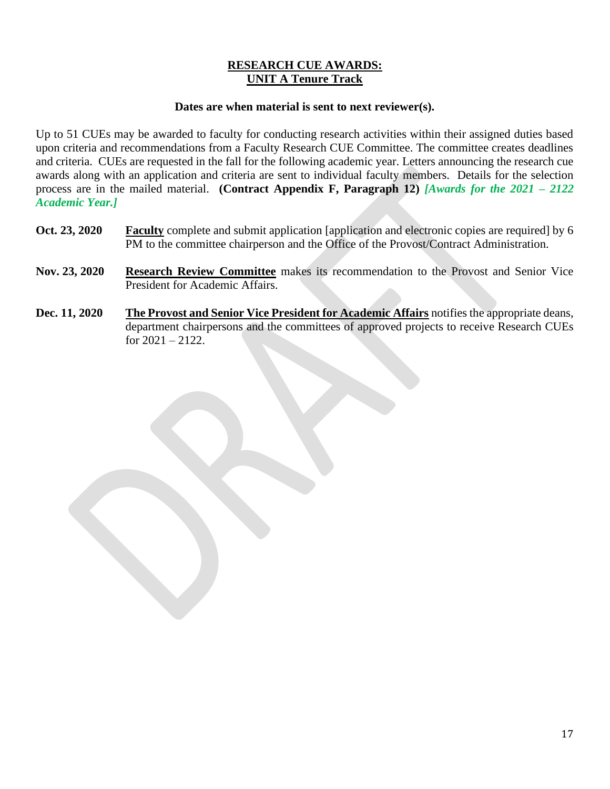## **RESEARCH CUE AWARDS: UNIT A Tenure Track**

#### **Dates are when material is sent to next reviewer(s).**

Up to 51 CUEs may be awarded to faculty for conducting research activities within their assigned duties based upon criteria and recommendations from a Faculty Research CUE Committee. The committee creates deadlines and criteria. CUEs are requested in the fall for the following academic year. Letters announcing the research cue awards along with an application and criteria are sent to individual faculty members. Details for the selection process are in the mailed material. **(Contract Appendix F, Paragraph 12)** *[Awards for the 2021 – 2122 Academic Year.]*

- **Oct. 23, 2020 Faculty** complete and submit application [application and electronic copies are required] by 6 PM to the committee chairperson and the Office of the Provost/Contract Administration.
- **Nov. 23, 2020 Research Review Committee** makes its recommendation to the Provost and Senior Vice President for Academic Affairs.
- **Dec. 11, 2020 The Provost and Senior Vice President for Academic Affairs** notifies the appropriate deans, department chairpersons and the committees of approved projects to receive Research CUEs for 2021 – 2122.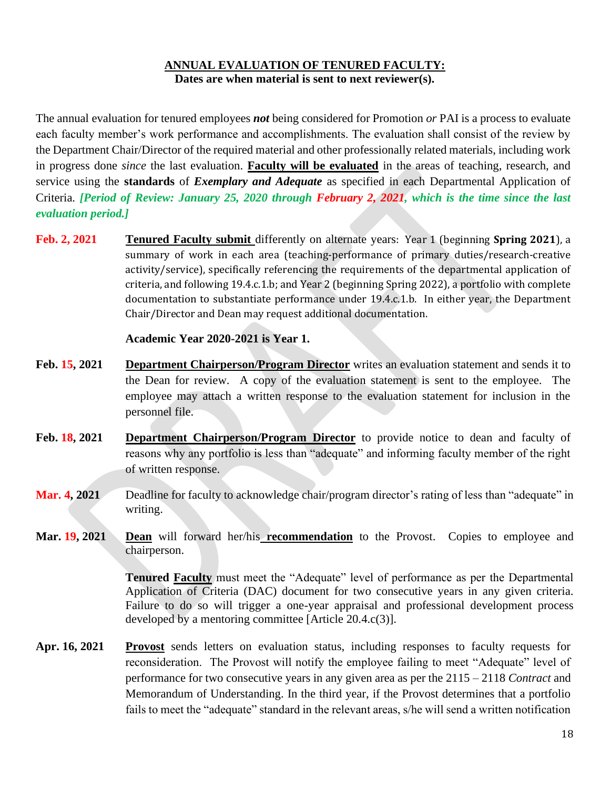### **ANNUAL EVALUATION OF TENURED FACULTY: Dates are when material is sent to next reviewer(s).**

The annual evaluation for tenured employees *not* being considered for Promotion *or* PAI is a process to evaluate each faculty member's work performance and accomplishments. The evaluation shall consist of the review by the Department Chair/Director of the required material and other professionally related materials, including work in progress done *since* the last evaluation. **Faculty will be evaluated** in the areas of teaching, research, and service using the **standards** of *Exemplary and Adequate* as specified in each Departmental Application of Criteria. *[Period of Review: January 25, 2020 through February 2, 2021, which is the time since the last evaluation period.]*

**Feb. 2, 2021 Tenured Faculty submit** differently on alternate years: Year 1 (beginning **Spring 2021**), a summary of work in each area (teaching-performance of primary duties/research-creative activity/service), specifically referencing the requirements of the departmental application of criteria, and following 19.4.c.1.b; and Year 2 (beginning Spring 2022), a portfolio with complete documentation to substantiate performance under 19.4.c.1.b. In either year, the Department Chair/Director and Dean may request additional documentation.

#### **Academic Year 2020-2021 is Year 1.**

- **Feb. 15, 2021 Department Chairperson/Program Director** writes an evaluation statement and sends it to the Dean for review. A copy of the evaluation statement is sent to the employee. The employee may attach a written response to the evaluation statement for inclusion in the personnel file.
- **Feb. 18, 2021 Department Chairperson/Program Director** to provide notice to dean and faculty of reasons why any portfolio is less than "adequate" and informing faculty member of the right of written response.
- **Mar. 4, 2021** Deadline for faculty to acknowledge chair/program director's rating of less than "adequate" in writing.
- **Mar. 19, 2021 Dean** will forward her/his **recommendation** to the Provost. Copies to employee and chairperson.

**Tenured Faculty** must meet the "Adequate" level of performance as per the Departmental Application of Criteria (DAC) document for two consecutive years in any given criteria. Failure to do so will trigger a one-year appraisal and professional development process developed by a mentoring committee [Article 20.4.c(3)].

**Apr. 16, 2021 Provost** sends letters on evaluation status, including responses to faculty requests for reconsideration. The Provost will notify the employee failing to meet "Adequate" level of performance for two consecutive years in any given area as per the 2115 – 2118 *Contract* and Memorandum of Understanding. In the third year, if the Provost determines that a portfolio fails to meet the "adequate" standard in the relevant areas, s/he will send a written notification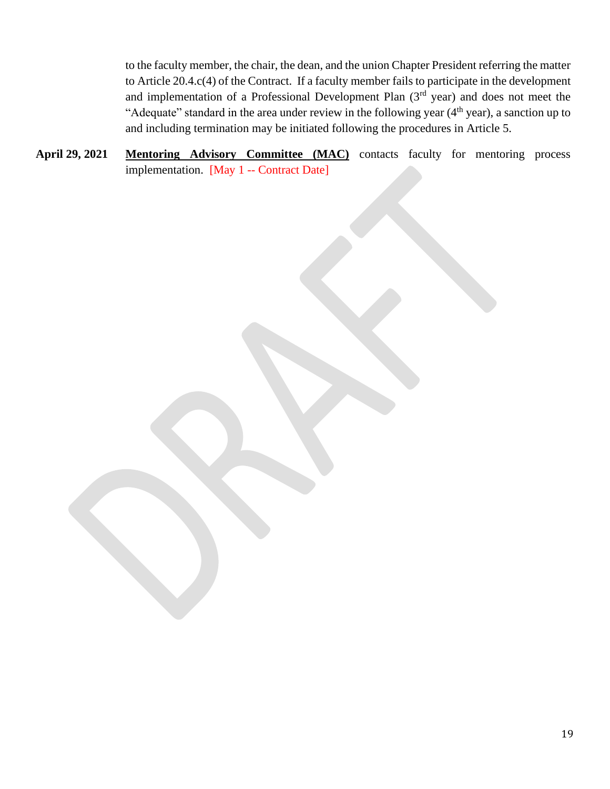to the faculty member, the chair, the dean, and the union Chapter President referring the matter to Article 20.4.c(4) of the Contract. If a faculty member fails to participate in the development and implementation of a Professional Development Plan  $(3<sup>rd</sup>$  year) and does not meet the "Adequate" standard in the area under review in the following year  $(4<sup>th</sup>$  year), a sanction up to and including termination may be initiated following the procedures in Article 5.

**April 29, 2021 Mentoring Advisory Committee (MAC)** contacts faculty for mentoring process implementation. [May 1 -- Contract Date]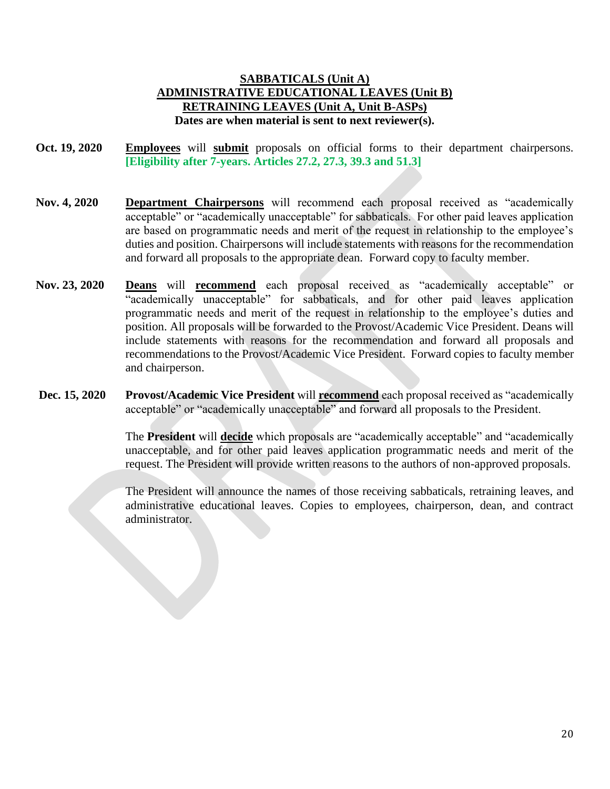### **SABBATICALS (Unit A) ADMINISTRATIVE EDUCATIONAL LEAVES (Unit B) RETRAINING LEAVES (Unit A, Unit B-ASPs) Dates are when material is sent to next reviewer(s).**

- **Oct. 19, 2020 Employees** will **submit** proposals on official forms to their department chairpersons. **[Eligibility after 7-years. Articles 27.2, 27.3, 39.3 and 51.3]**
- **Nov. 4, 2020 Department Chairpersons** will recommend each proposal received as "academically acceptable" or "academically unacceptable" for sabbaticals. For other paid leaves application are based on programmatic needs and merit of the request in relationship to the employee's duties and position. Chairpersons will include statements with reasons for the recommendation and forward all proposals to the appropriate dean. Forward copy to faculty member.
- **Nov. 23, 2020 Deans** will **recommend** each proposal received as "academically acceptable" or "academically unacceptable" for sabbaticals, and for other paid leaves application programmatic needs and merit of the request in relationship to the employee's duties and position. All proposals will be forwarded to the Provost/Academic Vice President. Deans will include statements with reasons for the recommendation and forward all proposals and recommendations to the Provost/Academic Vice President. Forward copies to faculty member and chairperson.
- **Dec. 15, 2020 Provost/Academic Vice President** will **recommend** each proposal received as "academically acceptable" or "academically unacceptable" and forward all proposals to the President.

The **President** will **decide** which proposals are "academically acceptable" and "academically unacceptable, and for other paid leaves application programmatic needs and merit of the request. The President will provide written reasons to the authors of non-approved proposals.

The President will announce the names of those receiving sabbaticals, retraining leaves, and administrative educational leaves. Copies to employees, chairperson, dean, and contract administrator.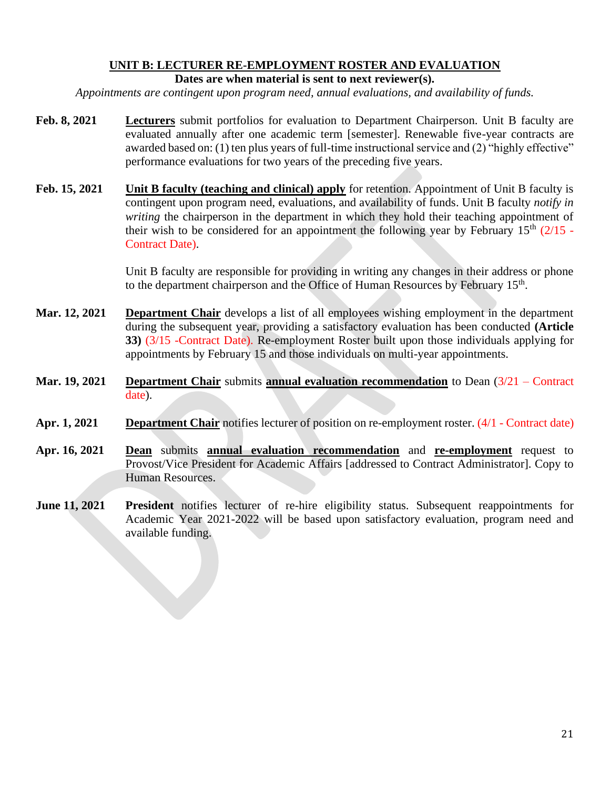## **UNIT B: LECTURER RE-EMPLOYMENT ROSTER AND EVALUATION**

**Dates are when material is sent to next reviewer(s).**

*Appointments are contingent upon program need, annual evaluations, and availability of funds.*

- **Feb. 8, 2021 Lecturers** submit portfolios for evaluation to Department Chairperson. Unit B faculty are evaluated annually after one academic term [semester]. Renewable five-year contracts are awarded based on: (1) ten plus years of full-time instructional service and (2) "highly effective" performance evaluations for two years of the preceding five years.
- **Feb. 15, 2021 Unit B faculty (teaching and clinical) apply** for retention. Appointment of Unit B faculty is contingent upon program need, evaluations, and availability of funds. Unit B faculty *notify in writing* the chairperson in the department in which they hold their teaching appointment of their wish to be considered for an appointment the following year by February  $15<sup>th</sup>$  (2/15 -Contract Date).

Unit B faculty are responsible for providing in writing any changes in their address or phone to the department chairperson and the Office of Human Resources by February  $15<sup>th</sup>$ .

- **Mar. 12, 2021 Department Chair** develops a list of all employees wishing employment in the department during the subsequent year, providing a satisfactory evaluation has been conducted **(Article 33)** (3/15 -Contract Date). Re-employment Roster built upon those individuals applying for appointments by February 15 and those individuals on multi-year appointments.
- **Mar. 19, 2021 Department Chair** submits **annual evaluation recommendation** to Dean (3/21 Contract date).
- **Apr. 1, 2021 Department Chair** notifies lecturer of position on re-employment roster. (4/1 Contract date)
- **Apr. 16, 2021 Dean** submits **annual evaluation recommendation** and **re-employment** request to Provost/Vice President for Academic Affairs [addressed to Contract Administrator]. Copy to Human Resources.
- **June 11, 2021 President** notifies lecturer of re-hire eligibility status. Subsequent reappointments for Academic Year 2021-2022 will be based upon satisfactory evaluation, program need and available funding.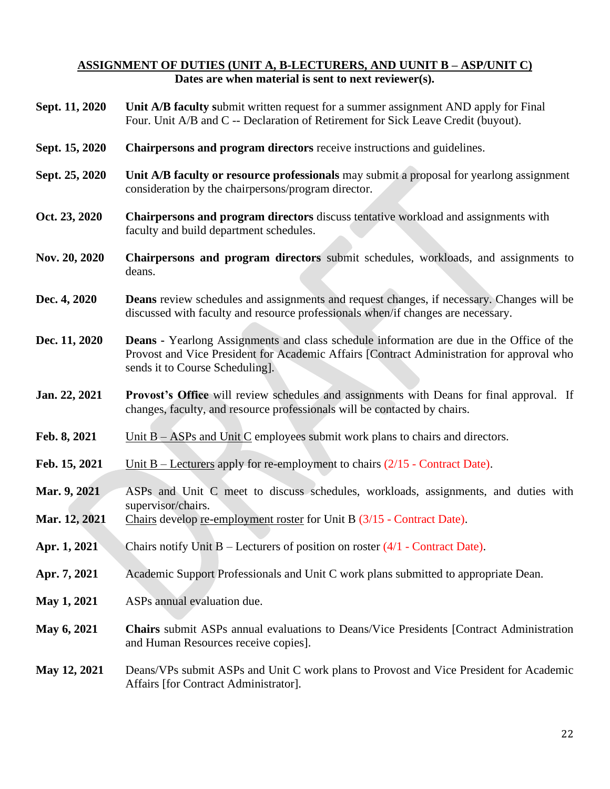### **ASSIGNMENT OF DUTIES (UNIT A, B-LECTURERS, AND UUNIT B – ASP/UNIT C) Dates are when material is sent to next reviewer(s).**

- **Sept. 11, 2020 Unit A/B faculty s**ubmit written request for a summer assignment AND apply for Final Four. Unit A/B and C -- Declaration of Retirement for Sick Leave Credit (buyout).
- **Sept. 15, 2020 Chairpersons and program directors** receive instructions and guidelines.
- **Sept. 25, 2020 Unit A/B faculty or resource professionals** may submit a proposal for yearlong assignment consideration by the chairpersons/program director.
- **Oct. 23, 2020 Chairpersons and program directors** discuss tentative workload and assignments with faculty and build department schedules.
- **Nov. 20, 2020 Chairpersons and program directors** submit schedules, workloads, and assignments to deans.
- **Dec. 4, 2020 Deans** review schedules and assignments and request changes, if necessary. Changes will be discussed with faculty and resource professionals when/if changes are necessary.
- **Dec. 11, 2020 Deans** Yearlong Assignments and class schedule information are due in the Office of the Provost and Vice President for Academic Affairs [Contract Administration for approval who sends it to Course Scheduling].
- **Jan. 22, 2021 Provost's Office** will review schedules and assignments with Deans for final approval. If changes, faculty, and resource professionals will be contacted by chairs.
- **Feb. 8, 2021** Unit B ASPs and Unit C employees submit work plans to chairs and directors.
- Feb. 15, 2021 Unit B Lecturers apply for re-employment to chairs  $(2/15$  Contract Date).
- **Mar. 9, 2021** ASPs and Unit C meet to discuss schedules, workloads, assignments, and duties with supervisor/chairs.
- Mar. 12, 2021 Chairs develop re-employment roster for Unit B (3/15 Contract Date).
- **Apr. 1, 2021** Chairs notify Unit B Lecturers of position on roster (4/1 Contract Date).
- **Apr. 7, 2021** Academic Support Professionals and Unit C work plans submitted to appropriate Dean.
- **May 1, 2021** ASPs annual evaluation due.
- **May 6, 2021 Chairs** submit ASPs annual evaluations to Deans/Vice Presidents [Contract Administration and Human Resources receive copies].
- **May 12, 2021** Deans/VPs submit ASPs and Unit C work plans to Provost and Vice President for Academic Affairs [for Contract Administrator].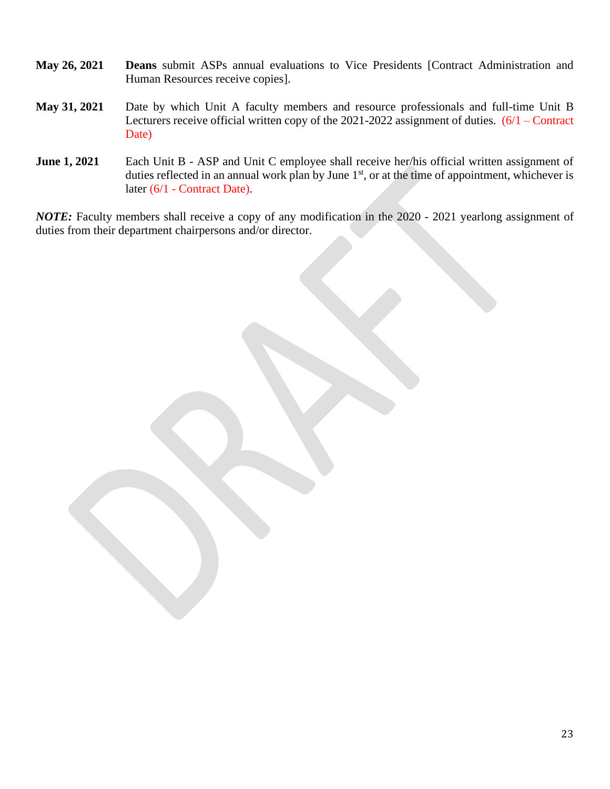- **May 26, 2021 Deans** submit ASPs annual evaluations to Vice Presidents [Contract Administration and Human Resources receive copies].
- **May 31, 2021** Date by which Unit A faculty members and resource professionals and full-time Unit B Lecturers receive official written copy of the 2021-2022 assignment of duties. (6/1 – Contract Date)
- **June 1, 2021** Each Unit B ASP and Unit C employee shall receive her/his official written assignment of duties reflected in an annual work plan by June  $1<sup>st</sup>$ , or at the time of appointment, whichever is later (6/1 - Contract Date).

*NOTE:* Faculty members shall receive a copy of any modification in the 2020 - 2021 yearlong assignment of duties from their department chairpersons and/or director.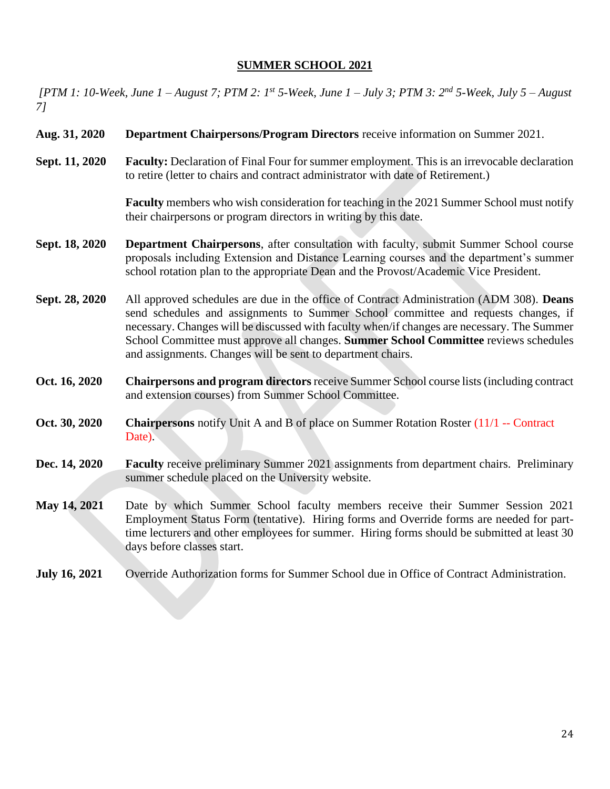### **SUMMER SCHOOL 2021**

*[PTM 1: 10-Week, June 1 – August 7; PTM 2: 1st 5-Week, June 1 – July 3; PTM 3: 2nd 5-Week, July 5 – August 7]*

- **Aug. 31, 2020 Department Chairpersons/Program Directors** receive information on Summer 2021.
- **Sept. 11, 2020 Faculty:** Declaration of Final Four for summer employment. This is an irrevocable declaration to retire (letter to chairs and contract administrator with date of Retirement.)

**Faculty** members who wish consideration for teaching in the 2021 Summer School must notify their chairpersons or program directors in writing by this date.

- **Sept. 18, 2020 Department Chairpersons**, after consultation with faculty, submit Summer School course proposals including Extension and Distance Learning courses and the department's summer school rotation plan to the appropriate Dean and the Provost/Academic Vice President.
- **Sept. 28, 2020** All approved schedules are due in the office of Contract Administration (ADM 308). **Deans** send schedules and assignments to Summer School committee and requests changes, if necessary. Changes will be discussed with faculty when/if changes are necessary. The Summer School Committee must approve all changes. **Summer School Committee** reviews schedules and assignments. Changes will be sent to department chairs.
- **Oct. 16, 2020 Chairpersons and program directors** receive Summer School course lists (including contract and extension courses) from Summer School Committee.
- **Oct. 30, 2020 Chairpersons** notify Unit A and B of place on Summer Rotation Roster (11/1 -- Contract Date).
- **Dec. 14, 2020 Faculty** receive preliminary Summer 2021 assignments from department chairs. Preliminary summer schedule placed on the University website.
- **May 14, 2021** Date by which Summer School faculty members receive their Summer Session 2021 Employment Status Form (tentative). Hiring forms and Override forms are needed for parttime lecturers and other employees for summer. Hiring forms should be submitted at least 30 days before classes start.
- **July 16, 2021** Override Authorization forms for Summer School due in Office of Contract Administration.